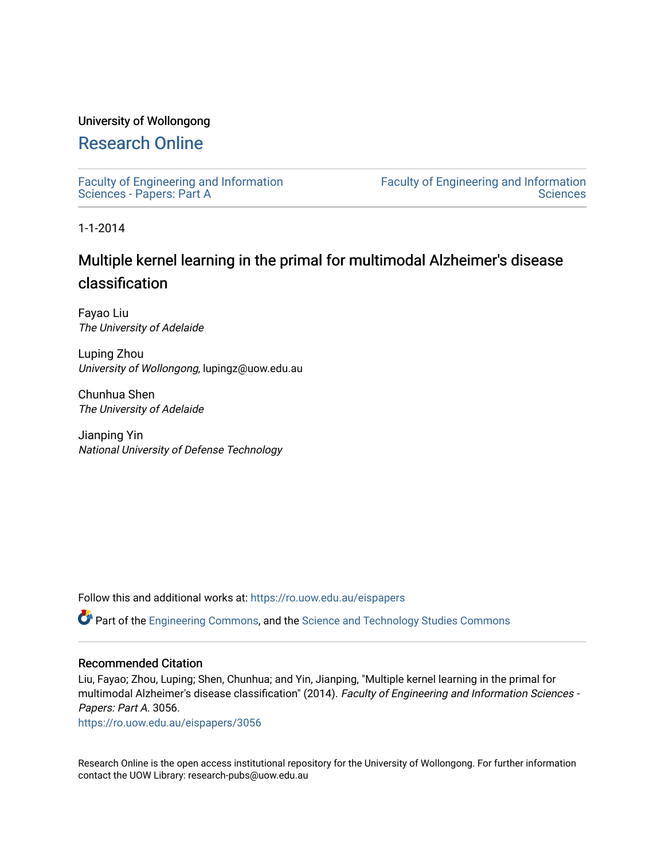# University of Wollongong

# [Research Online](https://ro.uow.edu.au/)

[Faculty of Engineering and Information](https://ro.uow.edu.au/eispapers)  [Sciences - Papers: Part A](https://ro.uow.edu.au/eispapers) 

[Faculty of Engineering and Information](https://ro.uow.edu.au/eis)  **Sciences** 

1-1-2014

# Multiple kernel learning in the primal for multimodal Alzheimer's disease classification

Fayao Liu The University of Adelaide

Luping Zhou University of Wollongong, lupingz@uow.edu.au

Chunhua Shen The University of Adelaide

Jianping Yin National University of Defense Technology

Follow this and additional works at: [https://ro.uow.edu.au/eispapers](https://ro.uow.edu.au/eispapers?utm_source=ro.uow.edu.au%2Feispapers%2F3056&utm_medium=PDF&utm_campaign=PDFCoverPages)

Part of the [Engineering Commons](http://network.bepress.com/hgg/discipline/217?utm_source=ro.uow.edu.au%2Feispapers%2F3056&utm_medium=PDF&utm_campaign=PDFCoverPages), and the [Science and Technology Studies Commons](http://network.bepress.com/hgg/discipline/435?utm_source=ro.uow.edu.au%2Feispapers%2F3056&utm_medium=PDF&utm_campaign=PDFCoverPages)

### Recommended Citation

Liu, Fayao; Zhou, Luping; Shen, Chunhua; and Yin, Jianping, "Multiple kernel learning in the primal for multimodal Alzheimer's disease classification" (2014). Faculty of Engineering and Information Sciences - Papers: Part A. 3056.

[https://ro.uow.edu.au/eispapers/3056](https://ro.uow.edu.au/eispapers/3056?utm_source=ro.uow.edu.au%2Feispapers%2F3056&utm_medium=PDF&utm_campaign=PDFCoverPages) 

Research Online is the open access institutional repository for the University of Wollongong. For further information contact the UOW Library: research-pubs@uow.edu.au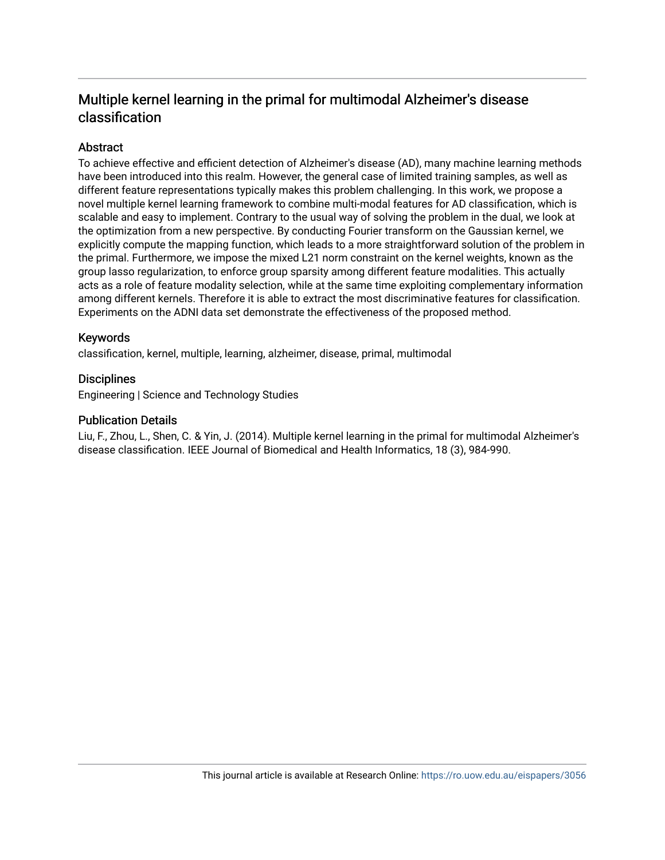# Multiple kernel learning in the primal for multimodal Alzheimer's disease classification

# **Abstract**

To achieve effective and efficient detection of Alzheimer's disease (AD), many machine learning methods have been introduced into this realm. However, the general case of limited training samples, as well as different feature representations typically makes this problem challenging. In this work, we propose a novel multiple kernel learning framework to combine multi-modal features for AD classification, which is scalable and easy to implement. Contrary to the usual way of solving the problem in the dual, we look at the optimization from a new perspective. By conducting Fourier transform on the Gaussian kernel, we explicitly compute the mapping function, which leads to a more straightforward solution of the problem in the primal. Furthermore, we impose the mixed L21 norm constraint on the kernel weights, known as the group lasso regularization, to enforce group sparsity among different feature modalities. This actually acts as a role of feature modality selection, while at the same time exploiting complementary information among different kernels. Therefore it is able to extract the most discriminative features for classification. Experiments on the ADNI data set demonstrate the effectiveness of the proposed method.

# Keywords

classification, kernel, multiple, learning, alzheimer, disease, primal, multimodal

## **Disciplines**

Engineering | Science and Technology Studies

## Publication Details

Liu, F., Zhou, L., Shen, C. & Yin, J. (2014). Multiple kernel learning in the primal for multimodal Alzheimer's disease classification. IEEE Journal of Biomedical and Health Informatics, 18 (3), 984-990.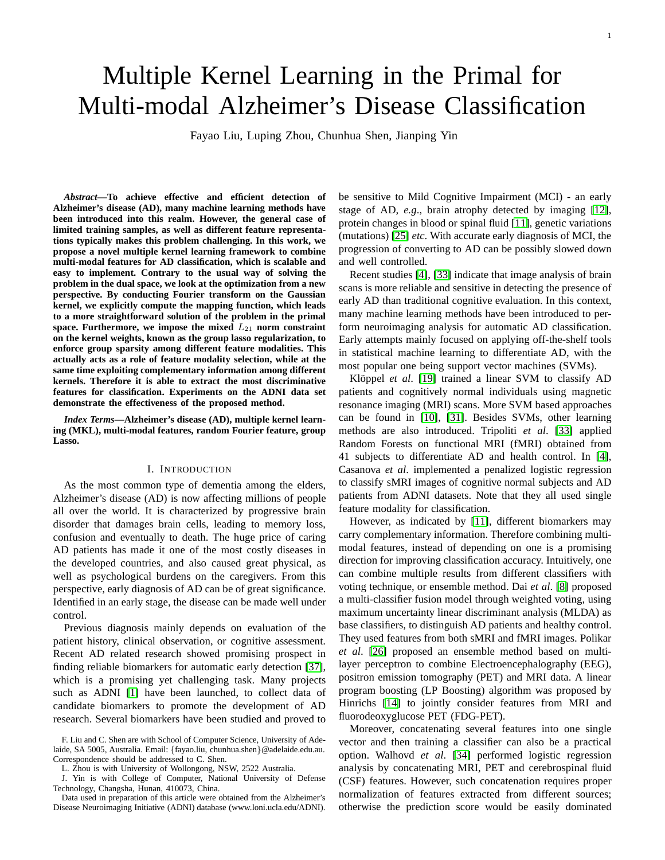# Multiple Kernel Learning in the Primal for Multi-modal Alzheimer's Disease Classification

Fayao Liu, Luping Zhou, Chunhua Shen, Jianping Yin

*Abstract***—To achieve effective and efficient detection of Alzheimer's disease (AD), many machine learning methods have been introduced into this realm. However, the general case of limited training samples, as well as different feature representations typically makes this problem challenging. In this work, we propose a novel multiple kernel learning framework to combine multi-modal features for AD classification, which is scalable and easy to implement. Contrary to the usual way of solving the problem in the dual space, we look at the optimization from a new perspective. By conducting Fourier transform on the Gaussian kernel, we explicitly compute the mapping function, which leads to a more straightforward solution of the problem in the primal** space. Furthermore, we impose the mixed  $L_{21}$  norm constraint **on the kernel weights, known as the group lasso regularization, to enforce group sparsity among different feature modalities. This actually acts as a role of feature modality selection, while at the same time exploiting complementary information among different kernels. Therefore it is able to extract the most discriminative features for classification. Experiments on the ADNI data set demonstrate the effectiveness of the proposed method.**

*Index Terms***—Alzheimer's disease (AD), multiple kernel learning (MKL), multi-modal features, random Fourier feature, group Lasso.**

#### I. INTRODUCTION

As the most common type of dementia among the elders, Alzheimer's disease (AD) is now affecting millions of people all over the world. It is characterized by progressive brain disorder that damages brain cells, leading to memory loss, confusion and eventually to death. The huge price of caring AD patients has made it one of the most costly diseases in the developed countries, and also caused great physical, as well as psychological burdens on the caregivers. From this perspective, early diagnosis of AD can be of great significance. Identified in an early stage, the disease can be made well under control.

Previous diagnosis mainly depends on evaluation of the patient history, clinical observation, or cognitive assessment. Recent AD related research showed promising prospect in finding reliable biomarkers for automatic early detection [\[37\]](#page-8-0), which is a promising yet challenging task. Many projects such as ADNI [\[1\]](#page-7-0) have been launched, to collect data of candidate biomarkers to promote the development of AD research. Several biomarkers have been studied and proved to

J. Yin is with College of Computer, National University of Defense Technology, Changsha, Hunan, 410073, China.

Data used in preparation of this article were obtained from the Alzheimer's Disease Neuroimaging Initiative (ADNI) database (www.loni.ucla.edu/ADNI). be sensitive to Mild Cognitive Impairment (MCI) - an early stage of AD, *e.g*., brain atrophy detected by imaging [\[12\]](#page-7-1), protein changes in blood or spinal fluid [\[11\]](#page-7-2), genetic variations (mutations) [\[25\]](#page-8-1) *etc*. With accurate early diagnosis of MCI, the progression of converting to AD can be possibly slowed down and well controlled.

Recent studies [\[4\]](#page-7-3), [\[33\]](#page-8-2) indicate that image analysis of brain scans is more reliable and sensitive in detecting the presence of early AD than traditional cognitive evaluation. In this context, many machine learning methods have been introduced to perform neuroimaging analysis for automatic AD classification. Early attempts mainly focused on applying off-the-shelf tools in statistical machine learning to differentiate AD, with the most popular one being support vector machines (SVMs).

Klöppel *et al.* [\[19\]](#page-8-3) trained a linear SVM to classify AD patients and cognitively normal individuals using magnetic resonance imaging (MRI) scans. More SVM based approaches can be found in [\[10\]](#page-7-4), [\[31\]](#page-8-4). Besides SVMs, other learning methods are also introduced. Tripoliti *et al*. [\[33\]](#page-8-2) applied Random Forests on functional MRI (fMRI) obtained from 41 subjects to differentiate AD and health control. In [\[4\]](#page-7-3), Casanova *et al*. implemented a penalized logistic regression to classify sMRI images of cognitive normal subjects and AD patients from ADNI datasets. Note that they all used single feature modality for classification.

However, as indicated by [\[11\]](#page-7-2), different biomarkers may carry complementary information. Therefore combining multimodal features, instead of depending on one is a promising direction for improving classification accuracy. Intuitively, one can combine multiple results from different classifiers with voting technique, or ensemble method. Dai *et al*. [\[8\]](#page-7-5) proposed a multi-classifier fusion model through weighted voting, using maximum uncertainty linear discriminant analysis (MLDA) as base classifiers, to distinguish AD patients and healthy control. They used features from both sMRI and fMRI images. Polikar *et al*. [\[26\]](#page-8-5) proposed an ensemble method based on multilayer perceptron to combine Electroencephalography (EEG), positron emission tomography (PET) and MRI data. A linear program boosting (LP Boosting) algorithm was proposed by Hinrichs [\[14\]](#page-7-6) to jointly consider features from MRI and fluorodeoxyglucose PET (FDG-PET).

Moreover, concatenating several features into one single vector and then training a classifier can also be a practical option. Walhovd *et al*. [\[34\]](#page-8-6) performed logistic regression analysis by concatenating MRI, PET and cerebrospinal fluid (CSF) features. However, such concatenation requires proper normalization of features extracted from different sources; otherwise the prediction score would be easily dominated

F. Liu and C. Shen are with School of Computer Science, University of Adelaide, SA 5005, Australia. Email: {fayao.liu, chunhua.shen}@adelaide.edu.au. Correspondence should be addressed to C. Shen.

L. Zhou is with University of Wollongong, NSW, 2522 Australia.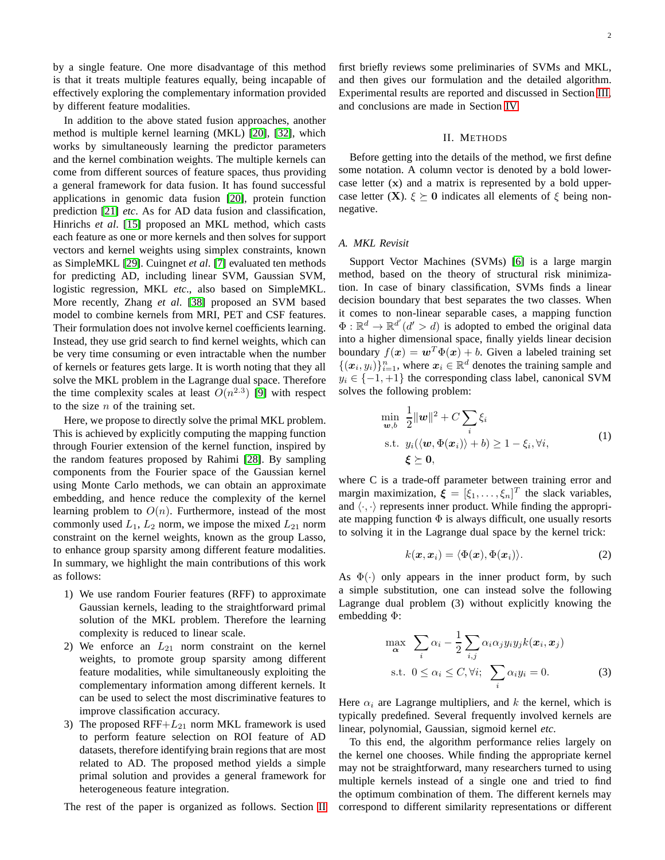by a single feature. One more disadvantage of this method is that it treats multiple features equally, being incapable of effectively exploring the complementary information provided by different feature modalities.

In addition to the above stated fusion approaches, another method is multiple kernel learning (MKL) [\[20\]](#page-8-7), [\[32\]](#page-8-8), which works by simultaneously learning the predictor parameters and the kernel combination weights. The multiple kernels can come from different sources of feature spaces, thus providing a general framework for data fusion. It has found successful applications in genomic data fusion [\[20\]](#page-8-7), protein function prediction [\[21\]](#page-8-9) *etc*. As for AD data fusion and classification, Hinrichs *et al*. [\[15\]](#page-7-7) proposed an MKL method, which casts each feature as one or more kernels and then solves for support vectors and kernel weights using simplex constraints, known as SimpleMKL [\[29\]](#page-8-10). Cuingnet *et al*. [\[7\]](#page-7-8) evaluated ten methods for predicting AD, including linear SVM, Gaussian SVM, logistic regression, MKL *etc*., also based on SimpleMKL. More recently, Zhang *et al*. [\[38\]](#page-8-11) proposed an SVM based model to combine kernels from MRI, PET and CSF features. Their formulation does not involve kernel coefficients learning. Instead, they use grid search to find kernel weights, which can be very time consuming or even intractable when the number of kernels or features gets large. It is worth noting that they all solve the MKL problem in the Lagrange dual space. Therefore the time complexity scales at least  $O(n^{2.3})$  [\[9\]](#page-7-9) with respect to the size  $n$  of the training set.

Here, we propose to directly solve the primal MKL problem. This is achieved by explicitly computing the mapping function through Fourier extension of the kernel function, inspired by the random features proposed by Rahimi [\[28\]](#page-8-12). By sampling components from the Fourier space of the Gaussian kernel using Monte Carlo methods, we can obtain an approximate embedding, and hence reduce the complexity of the kernel learning problem to  $O(n)$ . Furthermore, instead of the most commonly used  $L_1$ ,  $L_2$  norm, we impose the mixed  $L_{21}$  norm constraint on the kernel weights, known as the group Lasso, to enhance group sparsity among different feature modalities. In summary, we highlight the main contributions of this work as follows:

- 1) We use random Fourier features (RFF) to approximate Gaussian kernels, leading to the straightforward primal solution of the MKL problem. Therefore the learning complexity is reduced to linear scale.
- 2) We enforce an  $L_{21}$  norm constraint on the kernel weights, to promote group sparsity among different feature modalities, while simultaneously exploiting the complementary information among different kernels. It can be used to select the most discriminative features to improve classification accuracy.
- 3) The proposed  $RFF+L_{21}$  norm MKL framework is used to perform feature selection on ROI feature of AD datasets, therefore identifying brain regions that are most related to AD. The proposed method yields a simple primal solution and provides a general framework for heterogeneous feature integration.

The rest of the paper is organized as follows. Section [II](#page-3-0)

first briefly reviews some preliminaries of SVMs and MKL, and then gives our formulation and the detailed algorithm. Experimental results are reported and discussed in Section [III,](#page-5-0) and conclusions are made in Section [IV.](#page-7-10)

#### II. METHODS

<span id="page-3-0"></span>Before getting into the details of the method, we first define some notation. A column vector is denoted by a bold lowercase letter (x) and a matrix is represented by a bold uppercase letter (X).  $\xi \succeq 0$  indicates all elements of  $\xi$  being nonnegative.

#### *A. MKL Revisit*

Support Vector Machines (SVMs) [\[6\]](#page-7-11) is a large margin method, based on the theory of structural risk minimization. In case of binary classification, SVMs finds a linear decision boundary that best separates the two classes. When it comes to non-linear separable cases, a mapping function  $\Phi: \mathbb{R}^d \to \mathbb{R}^{d'}(d' > d)$  is adopted to embed the original data into a higher dimensional space, finally yields linear decision boundary  $f(x) = \boldsymbol{w}^T \Phi(x) + b$ . Given a labeled training set  $\{(x_i, y_i)\}_{i=1}^n$ , where  $x_i \in \mathbb{R}^d$  denotes the training sample and  $y_i \in \{-1, +1\}$  the corresponding class label, canonical SVM solves the following problem:

$$
\min_{\mathbf{w},b} \frac{1}{2} ||\mathbf{w}||^2 + C \sum_{i} \xi_i
$$
\n
$$
\text{s.t. } y_i(\langle \mathbf{w}, \Phi(\mathbf{x}_i) \rangle + b) \ge 1 - \xi_i, \forall i,
$$
\n
$$
\xi \ge 0,
$$
\n
$$
(1)
$$

where C is a trade-off parameter between training error and margin maximization,  $\boldsymbol{\xi} = [\xi_1, \dots, \xi_n]^T$  the slack variables, and  $\langle \cdot, \cdot \rangle$  represents inner product. While finding the appropriate mapping function  $\Phi$  is always difficult, one usually resorts to solving it in the Lagrange dual space by the kernel trick:

$$
k(\boldsymbol{x}, \boldsymbol{x}_i) = \langle \Phi(\boldsymbol{x}), \Phi(\boldsymbol{x}_i) \rangle. \tag{2}
$$

As  $\Phi(\cdot)$  only appears in the inner product form, by such a simple substitution, one can instead solve the following Lagrange dual problem (3) without explicitly knowing the embedding Φ:

$$
\max_{\alpha} \sum_{i} \alpha_{i} - \frac{1}{2} \sum_{i,j} \alpha_{i} \alpha_{j} y_{i} y_{j} k(\boldsymbol{x}_{i}, \boldsymbol{x}_{j})
$$
  
s.t.  $0 \leq \alpha_{i} \leq C, \forall i; \sum_{i} \alpha_{i} y_{i} = 0.$  (3)

Here  $\alpha_i$  are Lagrange multipliers, and k the kernel, which is typically predefined. Several frequently involved kernels are linear, polynomial, Gaussian, sigmoid kernel *etc*.

To this end, the algorithm performance relies largely on the kernel one chooses. While finding the appropriate kernel may not be straightforward, many researchers turned to using multiple kernels instead of a single one and tried to find the optimum combination of them. The different kernels may correspond to different similarity representations or different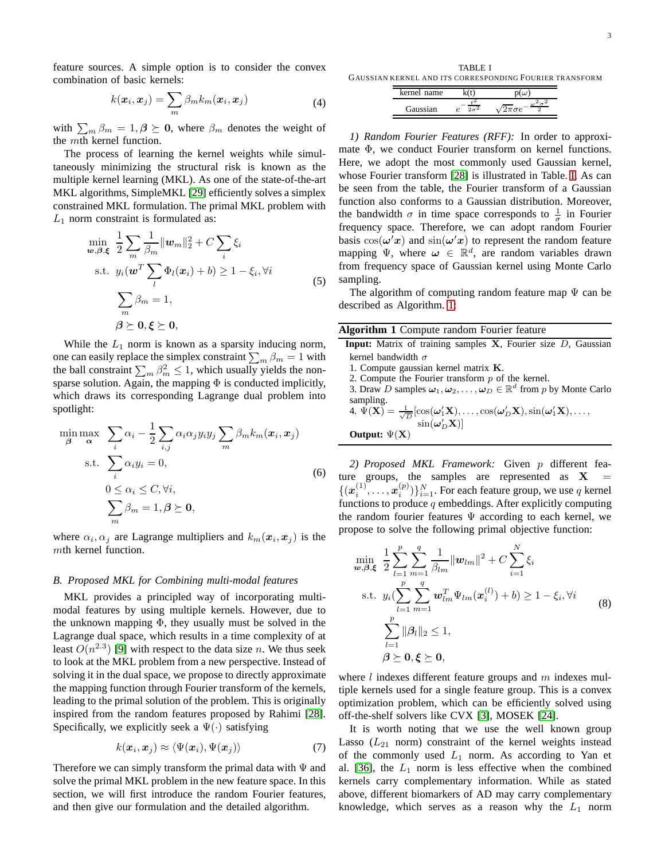feature sources. A simple option is to consider the convex combination of basic kernels:

$$
k(\boldsymbol{x}_i, \boldsymbol{x}_j) = \sum_m \beta_m k_m(\boldsymbol{x}_i, \boldsymbol{x}_j)
$$
 (4)

with  $\sum_m \beta_m = 1, \beta \succeq 0$ , where  $\beta_m$  denotes the weight of the mth kernel function.

The process of learning the kernel weights while simultaneously minimizing the structural risk is known as the multiple kernel learning (MKL). As one of the state-of-the-art MKL algorithms, SimpleMKL [\[29\]](#page-8-10) efficiently solves a simplex constrained MKL formulation. The primal MKL problem with  $L_1$  norm constraint is formulated as:

$$
\min_{\mathbf{w},\beta,\xi} \frac{1}{2} \sum_{m} \frac{1}{\beta_m} ||\mathbf{w}_m||_2^2 + C \sum_{i} \xi_i
$$
\n
$$
\text{s.t. } y_i(\mathbf{w}^T \sum_{l} \Phi_l(\mathbf{x}_i) + b) \ge 1 - \xi_i, \forall i
$$
\n
$$
\sum_{m} \beta_m = 1,
$$
\n
$$
\beta \ge 0, \xi \ge 0,
$$
\n(5)

While the  $L_1$  norm is known as a sparsity inducing norm, one can easily replace the simplex constraint  $\sum_m \beta_m = 1$  with the ball constraint  $\sum_m \beta_m^2 \le 1$ , which usually yields the nonsparse solution. Again, the mapping  $\Phi$  is conducted implicitly, which draws its corresponding Lagrange dual problem into spotlight:

$$
\min_{\beta} \max_{\alpha} \sum_{i} \alpha_{i} - \frac{1}{2} \sum_{i,j} \alpha_{i} \alpha_{j} y_{i} y_{j} \sum_{m} \beta_{m} k_{m}(\boldsymbol{x}_{i}, \boldsymbol{x}_{j})
$$
\n
$$
\text{s.t.} \sum_{i} \alpha_{i} y_{i} = 0,
$$
\n
$$
0 \leq \alpha_{i} \leq C, \forall i,
$$
\n
$$
\sum_{m} \beta_{m} = 1, \beta \geq \mathbf{0},
$$
\n(6)

where  $\alpha_i, \alpha_j$  are Lagrange multipliers and  $k_m(\boldsymbol{x}_i, \boldsymbol{x}_j)$  is the mth kernel function.

#### *B. Proposed MKL for Combining multi-modal features*

MKL provides a principled way of incorporating multimodal features by using multiple kernels. However, due to the unknown mapping  $\Phi$ , they usually must be solved in the Lagrange dual space, which results in a time complexity of at least  $O(n^{2.3})$  [\[9\]](#page-7-9) with respect to the data size *n*. We thus seek to look at the MKL problem from a new perspective. Instead of solving it in the dual space, we propose to directly approximate the mapping function through Fourier transform of the kernels, leading to the primal solution of the problem. This is originally inspired from the random features proposed by Rahimi [\[28\]](#page-8-12). Specifically, we explicitly seek a  $\Psi(\cdot)$  satisfying

$$
k(\boldsymbol{x}_i, \boldsymbol{x}_j) \approx \langle \Psi(\boldsymbol{x}_i), \Psi(\boldsymbol{x}_j) \rangle \tag{7}
$$

Therefore we can simply transform the primal data with  $\Psi$  and solve the primal MKL problem in the new feature space. In this section, we will first introduce the random Fourier features, and then give our formulation and the detailed algorithm.

<span id="page-4-0"></span>TABLE I GAUSSIAN KERNEL AND ITS CORRESPONDING FOURIER TRANSFORM

| name<br>ker |    |
|-------------|----|
| anssian     | TΡ |

*1) Random Fourier Features (RFF):* In order to approximate Φ, we conduct Fourier transform on kernel functions. Here, we adopt the most commonly used Gaussian kernel, whose Fourier transform [\[28\]](#page-8-12) is illustrated in Table. [I.](#page-4-0) As can be seen from the table, the Fourier transform of a Gaussian function also conforms to a Gaussian distribution. Moreover, the bandwidth  $\sigma$  in time space corresponds to  $\frac{1}{\sigma}$  in Fourier frequency space. Therefore, we can adopt random Fourier basis  $cos(\omega'x)$  and  $sin(\omega'x)$  to represent the random feature mapping  $\Psi$ , where  $\omega \in \mathbb{R}^d$ , are random variables drawn from frequency space of Gaussian kernel using Monte Carlo sampling.

The algorithm of computing random feature map  $\Psi$  can be described as Algorithm. [1:](#page-4-1)

<span id="page-4-1"></span>

| Algorithm 1 Compute random Fourier feature |  |  |  |  |  |
|--------------------------------------------|--|--|--|--|--|
|--------------------------------------------|--|--|--|--|--|

- **Input:** Matrix of training samples **X**, Fourier size *D*, Gaussian kernel bandwidth  $\sigma$ 
	- 1. Compute gaussian kernel matrix K.
	- 2. Compute the Fourier transform  $p$  of the kernel.
- 3. Draw D samples  $\omega_1, \omega_2, \ldots, \omega_D \in \mathbb{R}^d$  from p by Monte Carlo sampling.
- 4.  $\hat{\Psi}(\mathbf{X}) = \frac{1}{\sqrt{D}}[\cos(\omega'_1 \mathbf{X}), \dots, \cos(\omega'_D \mathbf{X}), \sin(\omega'_1 \mathbf{X}), \dots,$  $\sin(\omega_D^\prime \mathbf{X})]$ **Output:** Ψ(X)

*2) Proposed MKL Framework:* Given p different feature groups, the samples are represented as  $X =$  $\{(x_i^{(1)}, \ldots, x_i^{(p)})\}_{i=1}^N$ . For each feature group, we use q kernel functions to produce  $q$  embeddings. After explicitly computing the random fourier features  $\Psi$  according to each kernel, we propose to solve the following primal objective function:

<span id="page-4-2"></span>
$$
\min_{\mathbf{w}, \beta, \xi} \frac{1}{2} \sum_{l=1}^{p} \sum_{m=1}^{q} \frac{1}{\beta_{lm}} ||\mathbf{w}_{lm}||^{2} + C \sum_{i=1}^{N} \xi_{i}
$$
\n
$$
\text{s.t. } y_{i} (\sum_{l=1}^{p} \sum_{m=1}^{q} \mathbf{w}_{lm}^{T} \Psi_{lm}(\mathbf{x}_{i}^{(l)}) + b) \ge 1 - \xi_{i}, \forall i
$$
\n
$$
\sum_{l=1}^{p} ||\beta_{l}||_{2} \le 1,
$$
\n
$$
\beta \ge 0, \xi \ge 0,
$$
\n(8)

where  $l$  indexes different feature groups and  $m$  indexes multiple kernels used for a single feature group. This is a convex optimization problem, which can be efficiently solved using off-the-shelf solvers like CVX [\[3\]](#page-7-12), MOSEK [\[24\]](#page-8-13).

It is worth noting that we use the well known group Lasso  $(L_{21}$  norm) constraint of the kernel weights instead of the commonly used  $L_1$  norm. As according to Yan et al. [\[36\]](#page-8-14), the  $L_1$  norm is less effective when the combined kernels carry complementary information. While as stated above, different biomarkers of AD may carry complementary knowledge, which serves as a reason why the  $L_1$  norm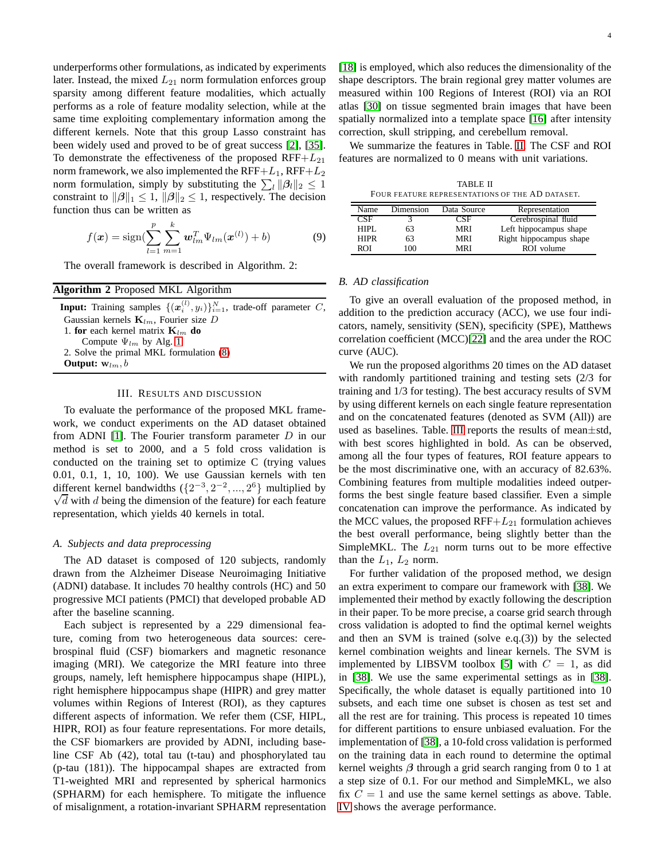underperforms other formulations, as indicated by experiments later. Instead, the mixed  $L_{21}$  norm formulation enforces group sparsity among different feature modalities, which actually performs as a role of feature modality selection, while at the same time exploiting complementary information among the different kernels. Note that this group Lasso constraint has been widely used and proved to be of great success [\[2\]](#page-7-13), [\[35\]](#page-8-15). To demonstrate the effectiveness of the proposed  $RFF+L_{21}$ norm framework, we also implemented the  $RFF+L_1, RFF+L_2$ norm formulation, simply by substituting the  $\sum_{l} ||\beta_l||_2 \leq 1$ constraint to  $\|\beta\|_1 \leq 1$ ,  $\|\beta\|_2 \leq 1$ , respectively. The decision function thus can be written as

$$
f(\mathbf{x}) = \text{sign}(\sum_{l=1}^{p} \sum_{m=1}^{k} \mathbf{w}_{lm}^{T} \Psi_{lm}(\mathbf{x}^{(l)}) + b)
$$
(9)

The overall framework is described in Algorithm. 2:

| <b>Algorithm 2</b> Proposed MKL Algorithm                                                           |
|-----------------------------------------------------------------------------------------------------|
| <b>Input:</b> Training samples $\{(\boldsymbol{x}_i^{(l)}, y_i)\}_{i=1}^N$ , trade-off parameter C, |
| Gaussian kernels $\mathbf{K}_{lm}$ , Fourier size D                                                 |
| 1. for each kernel matrix ${\bf K}_{lm}$ do                                                         |
| Compute $\Psi_{lm}$ by Alg. 1                                                                       |
| 2. Solve the primal MKL formulation (8)                                                             |
| <b>Output:</b> $w_{lm}$ , b                                                                         |
|                                                                                                     |

#### III. RESULTS AND DISCUSSION

<span id="page-5-0"></span>To evaluate the performance of the proposed MKL framework, we conduct experiments on the AD dataset obtained from ADNI [\[1\]](#page-7-0). The Fourier transform parameter  $D$  in our method is set to 2000, and a 5 fold cross validation is conducted on the training set to optimize C (trying values 0.01, 0.1, 1, 10, 100). We use Gaussian kernels with ten different kernel bandwidths  $({2^{-3}, 2^{-2}, ..., 2^{6}})$  multiplied by which define the dimension of the feature) for each feature  $\sqrt{d}$  with d being the dimension of the feature) for each feature representation, which yields 40 kernels in total.

#### *A. Subjects and data preprocessing*

The AD dataset is composed of 120 subjects, randomly drawn from the Alzheimer Disease Neuroimaging Initiative (ADNI) database. It includes 70 healthy controls (HC) and 50 progressive MCI patients (PMCI) that developed probable AD after the baseline scanning.

Each subject is represented by a 229 dimensional feature, coming from two heterogeneous data sources: cerebrospinal fluid (CSF) biomarkers and magnetic resonance imaging (MRI). We categorize the MRI feature into three groups, namely, left hemisphere hippocampus shape (HIPL), right hemisphere hippocampus shape (HIPR) and grey matter volumes within Regions of Interest (ROI), as they captures different aspects of information. We refer them (CSF, HIPL, HIPR, ROI) as four feature representations. For more details, the CSF biomarkers are provided by ADNI, including baseline CSF Ab (42), total tau (t-tau) and phosphorylated tau (p-tau (181)). The hippocampal shapes are extracted from T1-weighted MRI and represented by spherical harmonics (SPHARM) for each hemisphere. To mitigate the influence of misalignment, a rotation-invariant SPHARM representation [\[18\]](#page-7-14) is employed, which also reduces the dimensionality of the shape descriptors. The brain regional grey matter volumes are measured within 100 Regions of Interest (ROI) via an ROI atlas [\[30\]](#page-8-16) on tissue segmented brain images that have been spatially normalized into a template space [\[16\]](#page-7-15) after intensity correction, skull stripping, and cerebellum removal.

We summarize the features in Table. [II.](#page-5-1) The CSF and ROI features are normalized to 0 means with unit variations.

| <b>TABLE II</b>                                 |
|-------------------------------------------------|
| FOUR FEATURE REPRESENTATIONS OF THE AD DATASET. |

<span id="page-5-1"></span>

| Name        | Dimension | Data Source |                         |
|-------------|-----------|-------------|-------------------------|
|             |           |             | Representation          |
| CSF         |           | 7SF         | Cerebrospinal fluid     |
| HIPI.       | 63        | MRI         | Left hippocampus shape  |
| <b>HIPR</b> | 63        | MRI         | Right hippocampus shape |
| ROI         | 100       | <b>MRI</b>  | ROI volume              |

#### *B. AD classification*

To give an overall evaluation of the proposed method, in addition to the prediction accuracy (ACC), we use four indicators, namely, sensitivity (SEN), specificity (SPE), Matthews correlation coefficient (MCC)[\[22\]](#page-8-17) and the area under the ROC curve (AUC).

We run the proposed algorithms 20 times on the AD dataset with randomly partitioned training and testing sets (2/3 for training and 1/3 for testing). The best accuracy results of SVM by using different kernels on each single feature representation and on the concatenated features (denoted as SVM (All)) are used as baselines. Table. [III](#page-6-0) reports the results of mean±std, with best scores highlighted in bold. As can be observed, among all the four types of features, ROI feature appears to be the most discriminative one, with an accuracy of 82.63%. Combining features from multiple modalities indeed outperforms the best single feature based classifier. Even a simple concatenation can improve the performance. As indicated by the MCC values, the proposed  $RFF+L_{21}$  formulation achieves the best overall performance, being slightly better than the SimpleMKL. The  $L_{21}$  norm turns out to be more effective than the  $L_1$ ,  $L_2$  norm.

For further validation of the proposed method, we design an extra experiment to compare our framework with [\[38\]](#page-8-11). We implemented their method by exactly following the description in their paper. To be more precise, a coarse grid search through cross validation is adopted to find the optimal kernel weights and then an SVM is trained (solve e.q.(3)) by the selected kernel combination weights and linear kernels. The SVM is implemented by LIBSVM toolbox [\[5\]](#page-7-16) with  $C = 1$ , as did in [\[38\]](#page-8-11). We use the same experimental settings as in [\[38\]](#page-8-11). Specifically, the whole dataset is equally partitioned into 10 subsets, and each time one subset is chosen as test set and all the rest are for training. This process is repeated 10 times for different partitions to ensure unbiased evaluation. For the implementation of [\[38\]](#page-8-11), a 10-fold cross validation is performed on the training data in each round to determine the optimal kernel weights  $\beta$  through a grid search ranging from 0 to 1 at a step size of 0.1. For our method and SimpleMKL, we also fix  $C = 1$  and use the same kernel settings as above. Table. [IV](#page-6-1) shows the average performance.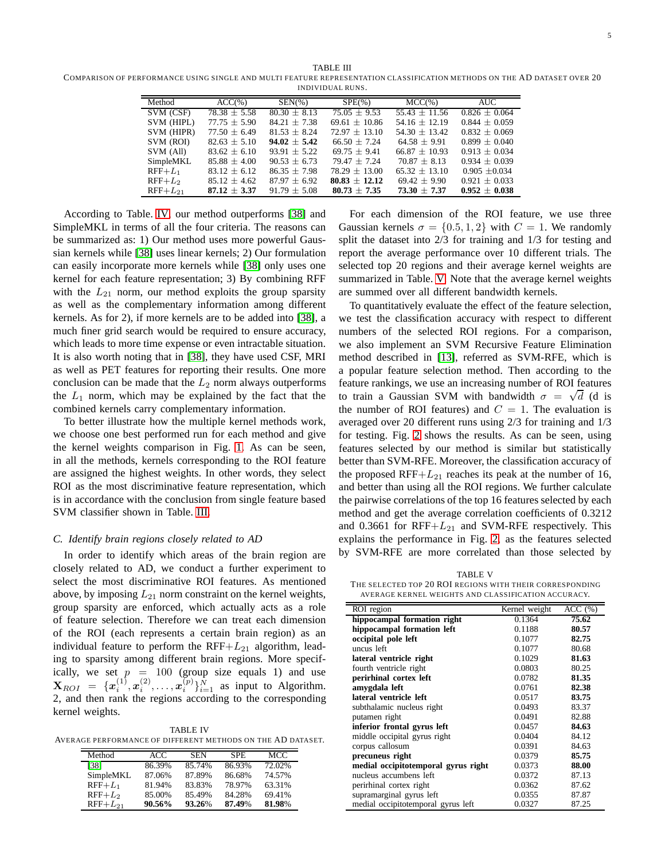<span id="page-6-0"></span>TABLE III COMPARISON OF PERFORMANCE USING SINGLE AND MULTI FEATURE REPRESENTATION CLASSIFICATION METHODS ON THE AD DATASET OVER 20 INDIVIDUAL RUNS.

| Method       | $ACC(\% )$       | $SEN(\%)$      | $SPE(\% )$      | $MCC(\% )$        | <b>AUC</b>        |
|--------------|------------------|----------------|-----------------|-------------------|-------------------|
|              |                  |                |                 |                   |                   |
| SVM (CSF)    | $78.38 \pm 5.58$ | $80.30 + 8.13$ | $75.05 + 9.53$  | $55.43 \pm 11.56$ | $0.826 + 0.064$   |
| SVM (HIPL)   | $77.75 + 5.90$   | $84.21 + 7.38$ | $69.61 + 10.86$ | $54.16 + 12.19$   | $0.844 + 0.059$   |
| SVM (HIPR)   | $77.50 + 6.49$   | $81.53 + 8.24$ | $72.97 + 13.10$ | $54.30 + 13.42$   | $0.832 + 0.069$   |
| SVM (ROI)    | $82.63 \pm 5.10$ | $94.02 + 5.42$ | $66.50 + 7.24$  | $64.58 + 9.91$    | $0.899 + 0.040$   |
| SVM (All)    | $83.62 \pm 6.10$ | $93.91 + 5.22$ | $69.75 + 9.41$  | $66.87 + 10.93$   | $0.913 + 0.034$   |
| SimpleMKL    | $85.88 + 4.00$   | $90.53 + 6.73$ | $79.47 + 7.24$  | $70.87 + 8.13$    | $0.934 + 0.039$   |
| $RFF+L_1$    | $83.12 + 6.12$   | $86.35 + 7.98$ | $78.29 + 13.00$ | $65.32 + 13.10$   | $0.905 + 0.034$   |
| $RFF+L2$     | $85.12 + 4.62$   | $87.97 + 6.92$ | $80.83 + 12.12$ | $69.42 + 9.90$    | $0.921 \pm 0.033$ |
| $RFF+L_{21}$ | $87.12 + 3.37$   | $91.79 + 5.08$ | $80.73 + 7.35$  | $73.30 + 7.37$    | $0.952 + 0.038$   |

According to Table. [IV,](#page-6-1) our method outperforms [\[38\]](#page-8-11) and SimpleMKL in terms of all the four criteria. The reasons can be summarized as: 1) Our method uses more powerful Gaussian kernels while [\[38\]](#page-8-11) uses linear kernels; 2) Our formulation can easily incorporate more kernels while [\[38\]](#page-8-11) only uses one kernel for each feature representation; 3) By combining RFF with the  $L_{21}$  norm, our method exploits the group sparsity as well as the complementary information among different kernels. As for 2), if more kernels are to be added into [\[38\]](#page-8-11), a much finer grid search would be required to ensure accuracy, which leads to more time expense or even intractable situation. It is also worth noting that in [\[38\]](#page-8-11), they have used CSF, MRI as well as PET features for reporting their results. One more conclusion can be made that the  $L_2$  norm always outperforms the  $L_1$  norm, which may be explained by the fact that the combined kernels carry complementary information.

To better illustrate how the multiple kernel methods work, we choose one best performed run for each method and give the kernel weights comparison in Fig. [1.](#page-7-17) As can be seen, in all the methods, kernels corresponding to the ROI feature are assigned the highest weights. In other words, they select ROI as the most discriminative feature representation, which is in accordance with the conclusion from single feature based SVM classifier shown in Table. [III.](#page-6-0)

#### *C. Identify brain regions closely related to AD*

In order to identify which areas of the brain region are closely related to AD, we conduct a further experiment to select the most discriminative ROI features. As mentioned above, by imposing  $L_{21}$  norm constraint on the kernel weights, group sparsity are enforced, which actually acts as a role of feature selection. Therefore we can treat each dimension of the ROI (each represents a certain brain region) as an individual feature to perform the  $RFF+L_{21}$  algorithm, leading to sparsity among different brain regions. More specifically, we set  $p = 100$  (group size equals 1) and use  $\mathbf{X}_{ROI} = \{x_i^{(1)}, x_i^{(2)}, \dots, x_i^{(p)}\}_{i=1}^{N}$  as input to Algorithm. 2, and then rank the regions according to the corresponding kernel weights.

<span id="page-6-1"></span>TABLE IV AVERAGE PERFORMANCE OF DIFFERENT METHODS ON THE AD DATASET.

| Method       | ACC    | SEN    | SPE.   | MCC    |
|--------------|--------|--------|--------|--------|
| [38]         | 86.39% | 85.74% | 86.93% | 72.02% |
| SimpleMKL    | 87.06% | 87.89% | 86.68% | 74.57% |
| $RFF+L_1$    | 81.94% | 83.83% | 78.97% | 63.31% |
| $RFF+L_2$    | 85.00% | 85.49% | 84.28% | 69.41% |
| $RFF+L_{21}$ | 90.56% | 93.26% | 87.49% | 81.98% |

For each dimension of the ROI feature, we use three Gaussian kernels  $\sigma = \{0.5, 1, 2\}$  with  $C = 1$ . We randomly split the dataset into 2/3 for training and 1/3 for testing and report the average performance over 10 different trials. The selected top 20 regions and their average kernel weights are summarized in Table. [V.](#page-6-2) Note that the average kernel weights are summed over all different bandwidth kernels.

To quantitatively evaluate the effect of the feature selection, we test the classification accuracy with respect to different numbers of the selected ROI regions. For a comparison, we also implement an SVM Recursive Feature Elimination method described in [\[13\]](#page-7-18), referred as SVM-RFE, which is a popular feature selection method. Then according to the feature rankings, we use an increasing number of ROI features to train a Gaussian SVM with bandwidth  $\sigma = \sqrt{d}$  (d is the number of ROI features) and  $C = 1$ . The evaluation is averaged over 20 different runs using 2/3 for training and 1/3 for testing. Fig. [2](#page-7-19) shows the results. As can be seen, using features selected by our method is similar but statistically better than SVM-RFE. Moreover, the classification accuracy of the proposed  $RFF+L_{21}$  reaches its peak at the number of 16, and better than using all the ROI regions. We further calculate the pairwise correlations of the top 16 features selected by each method and get the average correlation coefficients of 0.3212 and 0.3661 for  $RFF+L_{21}$  and SVM-RFE respectively. This explains the performance in Fig. [2,](#page-7-19) as the features selected by SVM-RFE are more correlated than those selected by

<span id="page-6-2"></span>TABLE V THE SELECTED TOP 20 ROI REGIONS WITH THEIR CORRESPONDING AVERAGE KERNEL WEIGHTS AND CLASSIFICATION ACCURACY.

| <b>ROI</b> region                   | Kernel weight | ACC(%) |
|-------------------------------------|---------------|--------|
| hippocampal formation right         | 0.1364        | 75.62  |
| hippocampal formation left          | 0.1188        | 80.57  |
| occipital pole left                 | 0.1077        | 82.75  |
| uncus left                          | 0.1077        | 80.68  |
| lateral ventricle right             | 0.1029        | 81.63  |
| fourth ventricle right              | 0.0803        | 80.25  |
| perirhinal cortex left              | 0.0782        | 81.35  |
| amvgdala left                       | 0.0761        | 82.38  |
| lateral ventricle left              | 0.0517        | 83.75  |
| subthalamic nucleus right           | 0.0493        | 83.37  |
| putamen right                       | 0.0491        | 82.88  |
| inferior frontal gyrus left         | 0.0457        | 84.63  |
| middle occipital gyrus right        | 0.0404        | 84.12  |
| corpus callosum                     | 0.0391        | 84.63  |
| precuneus right                     | 0.0379        | 85.75  |
| medial occipitotemporal gyrus right | 0.0373        | 88.00  |
| nucleus accumbens left              | 0.0372        | 87.13  |
| perirhinal cortex right             | 0.0362        | 87.62  |
| supramarginal gyrus left            | 0.0355        | 87.87  |
| medial occipitotemporal gyrus left  | 0.0327        | 87.25  |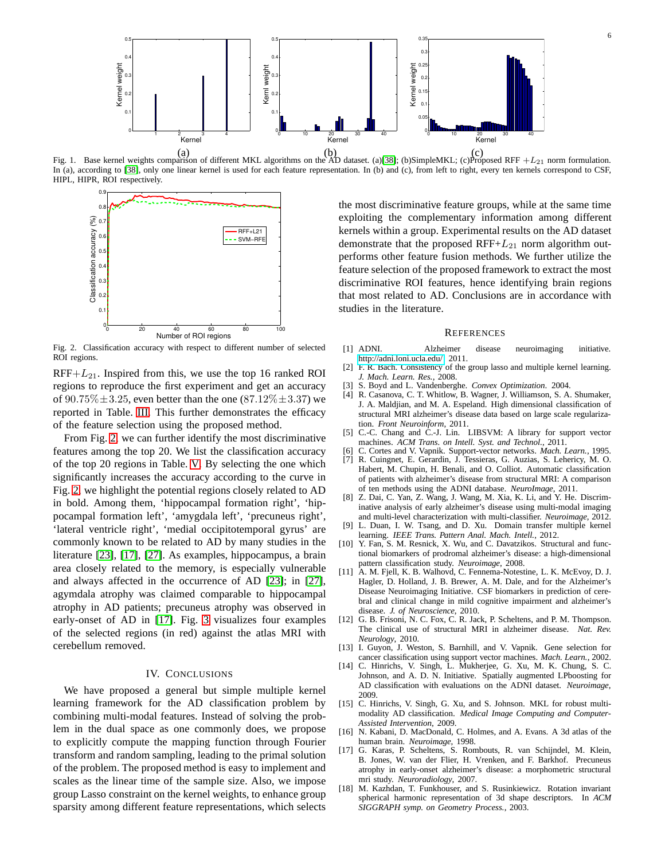

Fig. 1. Base kernel weights comparison of different MKL algorithms on the AD dataset. (a)[\[38\]](#page-8-11); (b)SimpleMKL; (c)Proposed RFF  $+L_{21}$  norm formulation. In (a), according to [\[38\]](#page-8-11), only one linear kernel is used for each feature representation. In (b) and (c), from left to right, every ten kernels correspond to CSF, HIPL, HIPR, ROI respectively.

<span id="page-7-17"></span>

<span id="page-7-19"></span>Fig. 2. Classification accuracy with respect to different number of selected ROI regions.

 $RFF+L_{21}$ . Inspired from this, we use the top 16 ranked ROI regions to reproduce the first experiment and get an accuracy of  $90.75\% \pm 3.25$ , even better than the one (87.12\%\frac{2}\$\sqrt{3.37}\$ we reported in Table. [III.](#page-6-0) This further demonstrates the efficacy of the feature selection using the proposed method.

From Fig. [2,](#page-7-19) we can further identify the most discriminative features among the top 20. We list the classification accuracy of the top 20 regions in Table. [V.](#page-6-2) By selecting the one which significantly increases the accuracy according to the curve in Fig. [2,](#page-7-19) we highlight the potential regions closely related to AD in bold. Among them, 'hippocampal formation right', 'hippocampal formation left', 'amygdala left', 'precuneus right', 'lateral ventricle right', 'medial occipitotemporal gyrus' are commonly known to be related to AD by many studies in the literature [\[23\]](#page-8-18), [\[17\]](#page-7-20), [\[27\]](#page-8-19). As examples, hippocampus, a brain area closely related to the memory, is especially vulnerable and always affected in the occurrence of AD [\[23\]](#page-8-18); in [\[27\]](#page-8-19), agymdala atrophy was claimed comparable to hippocampal atrophy in AD patients; precuneus atrophy was observed in early-onset of AD in [\[17\]](#page-7-20). Fig. [3](#page-8-20) visualizes four examples of the selected regions (in red) against the atlas MRI with cerebellum removed.

#### IV. CONCLUSIONS

<span id="page-7-10"></span>We have proposed a general but simple multiple kernel learning framework for the AD classification problem by combining multi-modal features. Instead of solving the problem in the dual space as one commonly does, we propose to explicitly compute the mapping function through Fourier transform and random sampling, leading to the primal solution of the problem. The proposed method is easy to implement and scales as the linear time of the sample size. Also, we impose group Lasso constraint on the kernel weights, to enhance group sparsity among different feature representations, which selects

the most discriminative feature groups, while at the same time exploiting the complementary information among different kernels within a group. Experimental results on the AD dataset demonstrate that the proposed  $RFF+L_{21}$  norm algorithm outperforms other feature fusion methods. We further utilize the feature selection of the proposed framework to extract the most discriminative ROI features, hence identifying brain regions that most related to AD. Conclusions are in accordance with studies in the literature.

#### **REFERENCES**

- <span id="page-7-0"></span>[1] ADNI. Alzheimer disease neuroimaging initiative. [http://adni.loni.ucla.edu/,](http://adni.loni.ucla.edu/) 2011.
- <span id="page-7-13"></span><span id="page-7-12"></span>[2] F. R. Bach. Consistency of the group lasso and multiple kernel learning. *J. Mach. Learn. Res.*, 2008.
- <span id="page-7-3"></span>[3] S. Boyd and L. Vandenberghe. *Convex Optimization*. 2004.
- [4] R. Casanova, C. T. Whitlow, B. Wagner, J. Williamson, S. A. Shumaker, J. A. Maldjian, and M. A. Espeland. High dimensional classification of structural MRI alzheimer's disease data based on large scale regularization. *Front Neuroinform*, 2011.
- <span id="page-7-16"></span>[5] C.-C. Chang and C.-J. Lin. LIBSVM: A library for support vector machines. *ACM Trans. on Intell. Syst. and Technol.*, 2011.
- <span id="page-7-11"></span><span id="page-7-8"></span>[6] C. Cortes and V. Vapnik. Support-vector networks. *Mach. Learn.*, 1995.
- [7] R. Cuingnet, E. Gerardin, J. Tessieras, G. Auzias, S. Lehericy, M. O. Habert, M. Chupin, H. Benali, and O. Colliot. Automatic classification of patients with alzheimer's disease from structural MRI: A comparison
- <span id="page-7-5"></span>of ten methods using the ADNI database. *NeuroImage*, 2011. [8] Z. Dai, C. Yan, Z. Wang, J. Wang, M. Xia, K. Li, and Y. He. Discriminative analysis of early alzheimer's disease using multi-modal imaging and multi-level characterization with multi-classifier. *Neuroimage*, 2012.
- <span id="page-7-9"></span>[9] L. Duan, I. W. Tsang, and D. Xu. Domain transfer multiple kernel learning. *IEEE Trans. Pattern Anal. Mach. Intell.*, 2012.
- <span id="page-7-4"></span>[10] Y. Fan, S. M. Resnick, X. Wu, and C. Davatzikos. Structural and functional biomarkers of prodromal alzheimer's disease: a high-dimensional pattern classification study. *Neuroimage*, 2008.
- <span id="page-7-2"></span>[11] A. M. Fjell, K. B. Walhovd, C. Fennema-Notestine, L. K. McEvoy, D. J. Hagler, D. Holland, J. B. Brewer, A. M. Dale, and for the Alzheimer's Disease Neuroimaging Initiative. CSF biomarkers in prediction of cerebral and clinical change in mild cognitive impairment and alzheimer's disease. *J. of Neuroscience*, 2010.
- <span id="page-7-1"></span>[12] G. B. Frisoni, N. C. Fox, C. R. Jack, P. Scheltens, and P. M. Thompson. The clinical use of structural MRI in alzheimer disease. *Nat. Rev. Neurology*, 2010.
- <span id="page-7-18"></span>[13] I. Guyon, J. Weston, S. Barnhill, and V. Vapnik. Gene selection for cancer classification using support vector machines. *Mach. Learn.*, 2002.
- <span id="page-7-6"></span>[14] C. Hinrichs, V. Singh, L. Mukherjee, G. Xu, M. K. Chung, S. C. Johnson, and A. D. N. Initiative. Spatially augmented LPboosting for AD classification with evaluations on the ADNI dataset. *Neuroimage*, 2009.
- <span id="page-7-7"></span>[15] C. Hinrichs, V. Singh, G. Xu, and S. Johnson. MKL for robust multimodality AD classification. *Medical Image Computing and Computer-Assisted Intervention*, 2009.
- <span id="page-7-15"></span>[16] N. Kabani, D. MacDonald, C. Holmes, and A. Evans. A 3d atlas of the human brain. *Neuroimage*, 1998.
- <span id="page-7-20"></span>[17] G. Karas, P. Scheltens, S. Rombouts, R. van Schijndel, M. Klein, B. Jones, W. van der Flier, H. Vrenken, and F. Barkhof. Precuneus atrophy in early-onset alzheimer's disease: a morphometric structural mri study. *Neuroradiology*, 2007.
- <span id="page-7-14"></span>[18] M. Kazhdan, T. Funkhouser, and S. Rusinkiewicz. Rotation invariant spherical harmonic representation of 3d shape descriptors. In *ACM SIGGRAPH symp. on Geometry Process.*, 2003.